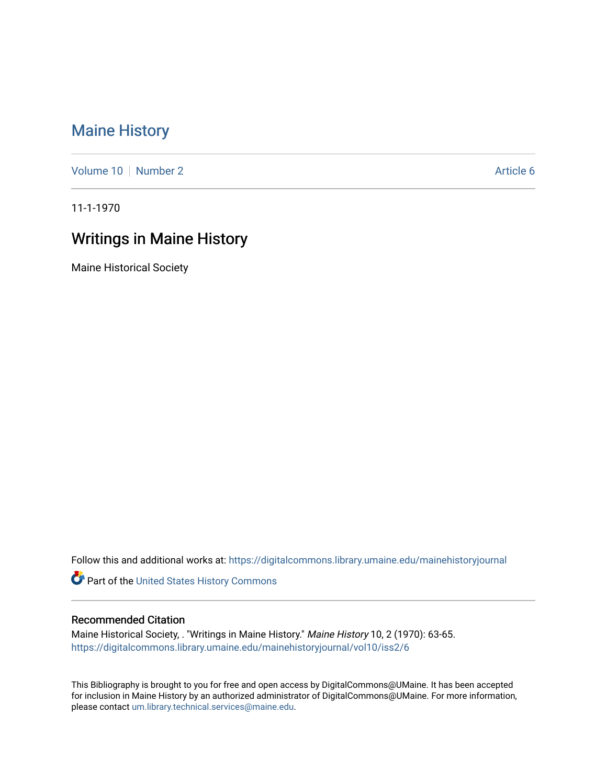## [Maine History](https://digitalcommons.library.umaine.edu/mainehistoryjournal)

[Volume 10](https://digitalcommons.library.umaine.edu/mainehistoryjournal/vol10) [Number 2](https://digitalcommons.library.umaine.edu/mainehistoryjournal/vol10/iss2) Article 6

11-1-1970

## Writings in Maine History

Maine Historical Society

Follow this and additional works at: [https://digitalcommons.library.umaine.edu/mainehistoryjournal](https://digitalcommons.library.umaine.edu/mainehistoryjournal?utm_source=digitalcommons.library.umaine.edu%2Fmainehistoryjournal%2Fvol10%2Fiss2%2F6&utm_medium=PDF&utm_campaign=PDFCoverPages) 

Part of the [United States History Commons](http://network.bepress.com/hgg/discipline/495?utm_source=digitalcommons.library.umaine.edu%2Fmainehistoryjournal%2Fvol10%2Fiss2%2F6&utm_medium=PDF&utm_campaign=PDFCoverPages) 

## Recommended Citation

Maine Historical Society, . "Writings in Maine History." Maine History 10, 2 (1970): 63-65. [https://digitalcommons.library.umaine.edu/mainehistoryjournal/vol10/iss2/6](https://digitalcommons.library.umaine.edu/mainehistoryjournal/vol10/iss2/6?utm_source=digitalcommons.library.umaine.edu%2Fmainehistoryjournal%2Fvol10%2Fiss2%2F6&utm_medium=PDF&utm_campaign=PDFCoverPages)

This Bibliography is brought to you for free and open access by DigitalCommons@UMaine. It has been accepted for inclusion in Maine History by an authorized administrator of DigitalCommons@UMaine. For more information, please contact [um.library.technical.services@maine.edu.](mailto:um.library.technical.services@maine.edu)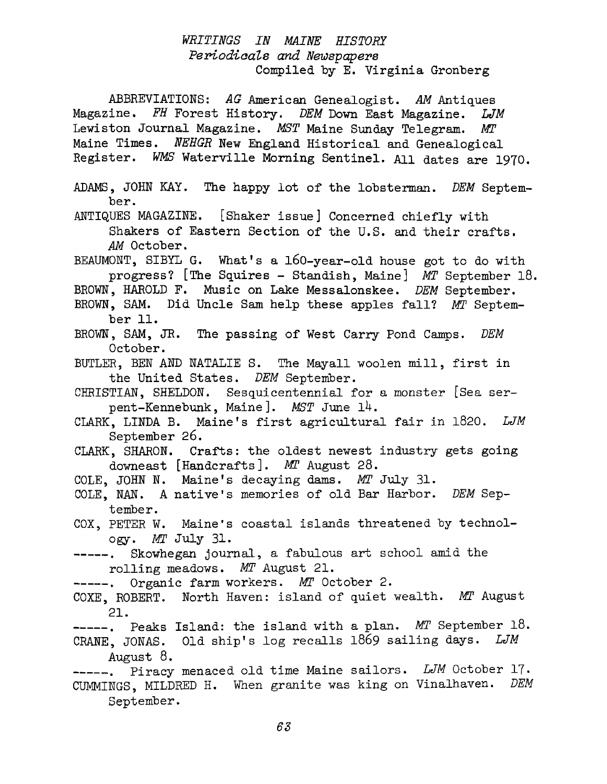## *WRITINGS IN MAINE HISTORY Periodicals and Newspapers* Compiled by E. Virginia Gronberg

ABBREVIATIONS: *AG* American Genealogist. *AM* Antiques Magazine. *FH* Forest History. *DEM* Down East Magazine. *LJM* Lewiston Journal Magazine. *MST* Maine Sunday Telegram. Aff Maine Times. *NEHGR* New England Historical and Genealogical Register. *WMS* Waterville Morning Sentinel. All dates are 1970. ADAMS, JOHN KAY. The happy lot of the lobsterman. *DEM* September. ANTIQUES MAGAZINE. [Shaker issue] Concerned chiefly with Shakers of Eastern Section of the U.S. and their crafts. *AM* October. BEAUMONT, SIBYL G. What'<sup>s</sup> <sup>a</sup> 160-year-old house got to do with progress? [The Squires - Standish, Maine] *MT* September 18. BROWN, HAROLD F. Music on Lake Messalonskee. *DEM* September. BROWN, SAM. Did Uncle Sam help these apples fall? *MT* September 11. BROWN, SAM, JR. The passing of West Carry Pond Camps. *DEM* October. BUTLER, BEN AND NATALIE S. The Mayall woolen mill, first in the United States. *DEM* September. CHRISTIAN, SHELDON. Sesquicentennial for a monster [Sea serpent-Kennebunk, Maine]. *MST* June 14. CLARK, LINDA B. Maine'<sup>s</sup> first agricultural fair in 1820. *LJM* September 26. CLARK, SHARON. Crafts: the oldest newest industry gets going downeast [Handcrafts]. *MT* August 28. COLE, JOHN N. Maine'<sup>s</sup> decaying dams. *MT* July 31. COLE, NAN. <sup>A</sup> native'<sup>s</sup> memories of old Bar Harbor. *DEM* September. COX, PETER W. Maine'<sup>s</sup> coastal islands threatened by technology. *MI* July 31. -----. Skowhegan journal, a fabulous art school amid the rolling meadows. *MT* August 21. -----. Organic farm workers. *MT* October 2. COXE, ROBERT. North Haven: island of quiet wealth. *MT* August 21. ------ , Peaks Island: the island with a plan. *MT* September 18. CRANE, JONAS. Old ship'<sup>s</sup> log recalls <sup>1869</sup> sailing days. *LJM* August 8. ------ . Piracy menaced old time Maine sailors. *LJM* October <sup>17</sup> • CUMMINGS, MILDRED H. When granite was king on Vinalhaven. *DEM* September.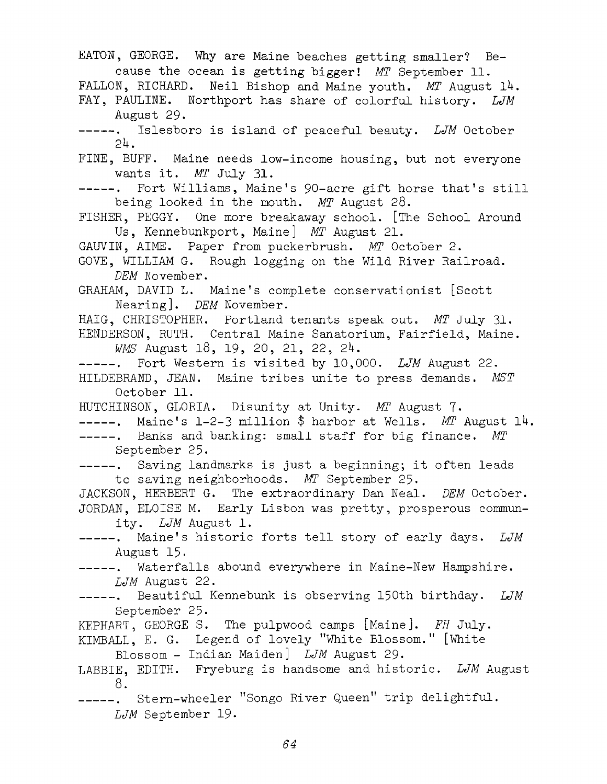EATON, GEORGE. Why are Maine beaches getting smaller? Because the ocean is getting bigger! *MT* September 11. FALLON, RICHARD. Neil Bishop and Maine youth. *MT* August 14. FAY, PAULINE. Northport has share of colorful history. *LJM* August 29• -----. Islesboro is island of peaceful beauty. LJM October  $24.$ FINE, BUFF. Maine needs low-income housing, but not everyone wants it. *MT* July 31- ------ , Fort Williams, Maine'<sup>s</sup> 90-acre gift horse that'<sup>s</sup> still being looked in the mouth. *MT* August 28. FISHER, PEGGY. One more breakaway school. [The School Around Us, Kennebunkport, Maine] *MT* August 21. GAUVIN, AIME. Paper from puckerbrush. *MT* October 2. GOVE, WILLIAM G. Rough logging on the Wild River Railroad. *DEM* November. GRAHAM, DAVID L. Maine'<sup>s</sup> complete conservationist [Scott Nearing]. *DEM* November. HAIG, CHRISTOPHER. Portland tenants speak out. *MT* July 31. HENDERSON, RUTH. Central Maine Sanatorium, Fairfield, Maine. *WMS* August 18, 19, 20, 21, 22, 2U. ------ , Fort Western is visited by 10,000. *LJM* August 22. HILDEBRAND, JEAN. Maine tribes unite to press demands. *MST* October 11. HUTCHINSON, GLORIA. Disunity at Unity. *MT* August 7. -----. Maine's 1-2-3 million \$ harbor at Wells. *MT* August 14. -----. Banks and banking: small staff for big finance. MT September 25. ------ . Saving landmarks is just <sup>a</sup> beginning; it often leads to saving neighborhoods. *MT* September 25. JACKSON, HERBERT G. The extraordinary Dan Neal. *DEM* October. JORDAN, ELOISE M. Early Lisbon was pretty, prosperous community. *LJM* August 1. Maine'<sup>s</sup> historic forts tell story of early days. *LJM* August 15. -----. Waterfalls abound everywhere in Maine-New Hampshire. *LJM* August 22. ------ . Beautiful Kennebunk is observing 150th birthday. *LJM* September 25. KEPHART, GEORGE S. The pulpwood camps [Maine]. *FH* July. KIMBALL, E. G. Legend of lovely ''White Blossom." [White Blossom - Indian Maiden] *LJM* August 29. LABBIE, EDITH. Fryeburg is handsome and historic. *LJM* August 8. -----. Stern-wheeler "Songo River Queen" trip delightful. *LJM* September 19.